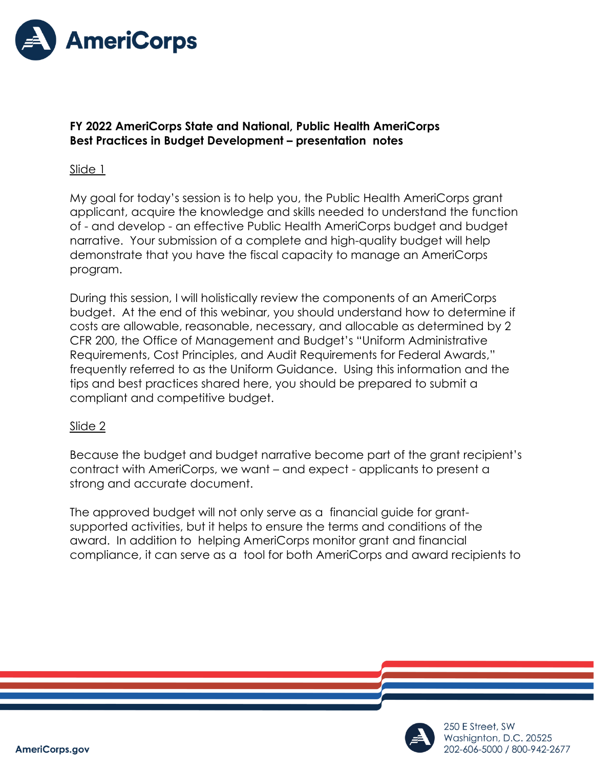

# **FY 2022 AmeriCorps State and National, Public Health AmeriCorps Best Practices in Budget Development – presentation notes**

## Slide 1

My goal for today's session is to help you, the Public Health AmeriCorps grant applicant, acquire the knowledge and skills needed to understand the function of - and develop - an effective Public Health AmeriCorps budget and budget narrative. Your submission of a complete and high-quality budget will help demonstrate that you have the fiscal capacity to manage an AmeriCorps program.

During this session, I will holistically review the components of an AmeriCorps budget. At the end of this webinar, you should understand how to determine if costs are allowable, reasonable, necessary, and allocable as determined by 2 CFR 200, the Office of Management and Budget's "Uniform Administrative Requirements, Cost Principles, and Audit Requirements for Federal Awards," frequently referred to as the Uniform Guidance. Using this information and the tips and best practices shared here, you should be prepared to submit a compliant and competitive budget.

### Slide 2

Because the budget and budget narrative become part of the grant recipient's contract with AmeriCorps, we want – and expect - applicants to present a strong and accurate document.

The approved budget will not only serve as a financial guide for grantsupported activities, but it helps to ensure the terms and conditions of the award. In addition to helping AmeriCorps monitor grant and financial compliance, it can serve as a tool for both AmeriCorps and award recipients to

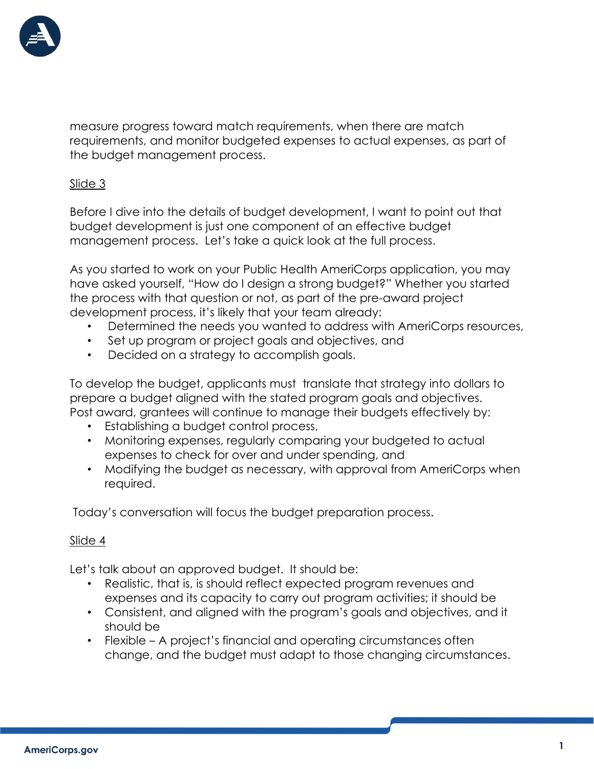

measure progress toward match requirements, when there are match requirements, and monitor budgeted expenses to actual expenses, as part of the budget management process.

## Slide 3

Before I dive into the details of budget development, I want to point out that budget development is just one component of an effective budget management process. Let's take a quick look at the full process.

As you started to work on your Public Health AmeriCorps application, you may have asked yourself, "How do I design a strong budget?" Whether you started the process with that question or not, as part of the pre-award project development process, it's likely that your team already:

- Determined the needs you wanted to address with AmeriCorps resources,
- Set up program or project goals and objectives, and
- Decided on a strategy to accomplish goals.

To develop the budget, applicants must translate that strategy into dollars to prepare a budget aligned with the stated program goals and objectives. Post award, grantees will continue to manage their budgets effectively by:

- Establishing a budget control process,
- Monitoring expenses, regularly comparing your budgeted to actual expenses to check for over and under spending, and
- Modifying the budget as necessary, with approval from AmeriCorps when required.

Today's conversation will focus the budget preparation process.

### Slide 4

Let's talk about an approved budget. It should be:

- Realistic, that is, is should reflect expected program revenues and expenses and its capacity to carry out program activities; it should be
- Consistent, and aligned with the program's goals and objectives, and it should be
- Flexible A project's financial and operating circumstances often change, and the budget must adapt to those changing circumstances.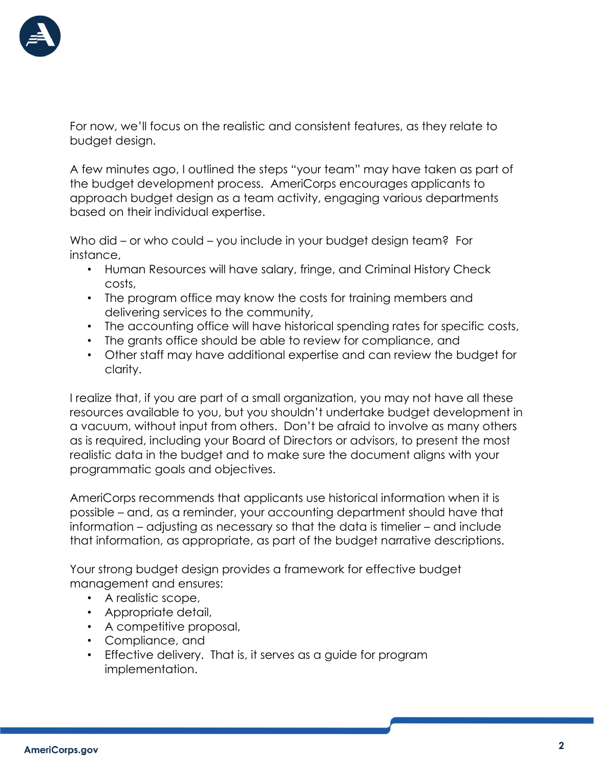

For now, we'll focus on the realistic and consistent features, as they relate to budget design.

A few minutes ago, I outlined the steps "your team" may have taken as part of the budget development process. AmeriCorps encourages applicants to approach budget design as a team activity, engaging various departments based on their individual expertise.

Who did – or who could – you include in your budget design team? For instance,

- Human Resources will have salary, fringe, and Criminal History Check costs,
- The program office may know the costs for training members and delivering services to the community,
- The accounting office will have historical spending rates for specific costs,
- The grants office should be able to review for compliance, and
- Other staff may have additional expertise and can review the budget for clarity.

I realize that, if you are part of a small organization, you may not have all these resources available to you, but you shouldn't undertake budget development in a vacuum, without input from others. Don't be afraid to involve as many others as is required, including your Board of Directors or advisors, to present the most realistic data in the budget and to make sure the document aligns with your programmatic goals and objectives.

AmeriCorps recommends that applicants use historical information when it is possible – and, as a reminder, your accounting department should have that information – adjusting as necessary so that the data is timelier – and include that information, as appropriate, as part of the budget narrative descriptions.

Your strong budget design provides a framework for effective budget management and ensures:

- A realistic scope,
- Appropriate detail,
- A competitive proposal,
- Compliance, and
- Effective delivery. That is, it serves as a guide for program implementation.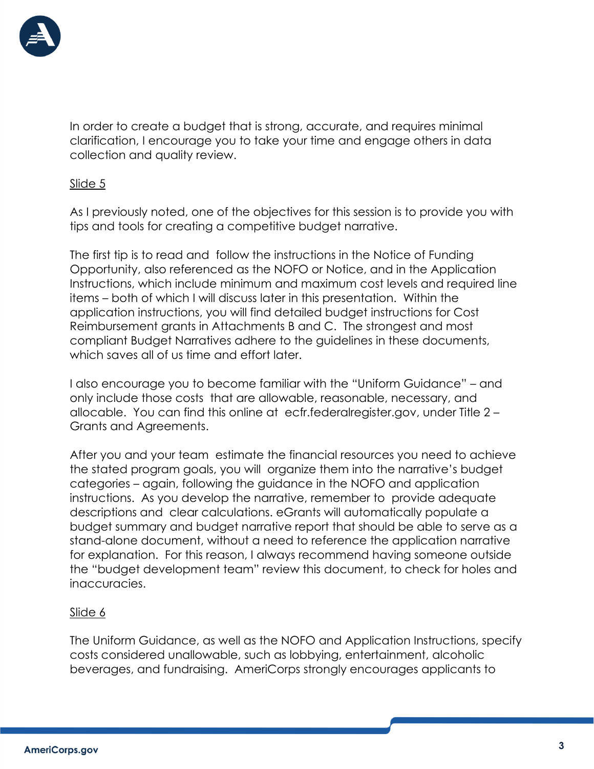

In order to create a budget that is strong, accurate, and requires minimal clarification, I encourage you to take your time and engage others in data collection and quality review.

### Slide 5

As I previously noted, one of the objectives for this session is to provide you with tips and tools for creating a competitive budget narrative.

The first tip is to read and follow the instructions in the Notice of Funding Opportunity, also referenced as the NOFO or Notice, and in the Application Instructions, which include minimum and maximum cost levels and required line items – both of which I will discuss later in this presentation. Within the application instructions, you will find detailed budget instructions for Cost Reimbursement grants in Attachments B and C. The strongest and most compliant Budget Narratives adhere to the guidelines in these documents, which saves all of us time and effort later.

I also encourage you to become familiar with the "Uniform Guidance" – and only include those costs that are allowable, reasonable, necessary, and allocable. You can find this online at ecfr.federalregister.gov, under Title 2 – Grants and Agreements.

After you and your team estimate the financial resources you need to achieve the stated program goals, you will organize them into the narrative's budget categories – again, following the guidance in the NOFO and application instructions. As you develop the narrative, remember to provide adequate descriptions and clear calculations. eGrants will automatically populate a budget summary and budget narrative report that should be able to serve as a stand-alone document, without a need to reference the application narrative for explanation. For this reason, I always recommend having someone outside the "budget development team" review this document, to check for holes and inaccuracies.

### Slide 6

The Uniform Guidance, as well as the NOFO and Application Instructions, specify costs considered unallowable, such as lobbying, entertainment, alcoholic beverages, and fundraising. AmeriCorps strongly encourages applicants to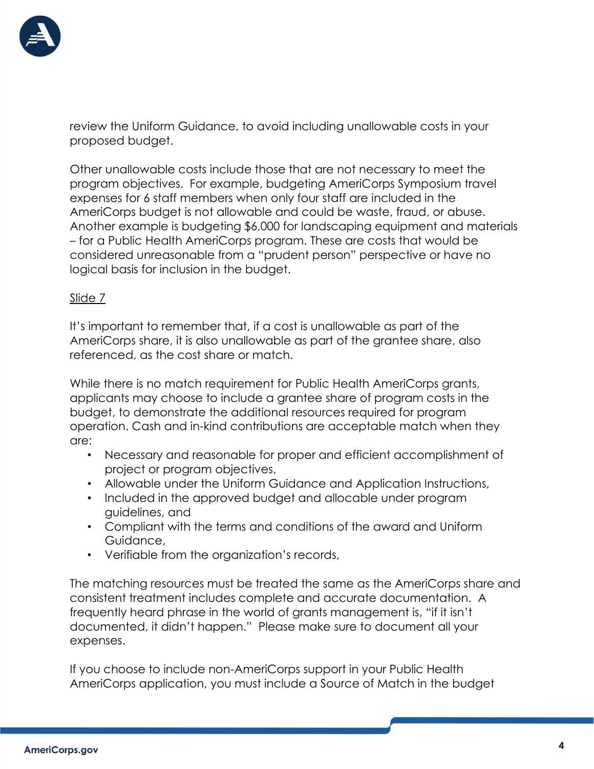

review the Uniform Guidance, to avoid including unallowable costs in your proposed budget.

Other unallowable costs include those that are not necessary to meet the program objectives. For example, budgeting AmeriCorps Symposium travel expenses for 6 staff members when only four staff are included in the AmeriCorps budget is not allowable and could be waste, fraud, or abuse. Another example is budgeting \$6,000 for landscaping equipment and materials – for a Public Health AmeriCorps program. These are costs that would be considered unreasonable from a "prudent person" perspective or have no logical basis for inclusion in the budget.

## Slide 7

It's important to remember that, if a cost is unallowable as part of the AmeriCorps share, it is also unallowable as part of the grantee share, also referenced, as the cost share or match.

While there is no match requirement for Public Health AmeriCorps grants, applicants may choose to include a grantee share of program costs in the budget, to demonstrate the additional resources required for program operation. Cash and in-kind contributions are acceptable match when they are:

- Necessary and reasonable for proper and efficient accomplishment of project or program objectives,
- Allowable under the Uniform Guidance and Application Instructions,
- Included in the approved budget and allocable under program guidelines, and
- Compliant with the terms and conditions of the award and Uniform Guidance,
- Verifiable from the organization's records,

The matching resources must be treated the same as the AmeriCorps share and consistent treatment includes complete and accurate documentation. A frequently heard phrase in the world of grants management is, "if it isn't documented, it didn't happen." Please make sure to document all your expenses.

If you choose to include non-AmeriCorps support in your Public Health AmeriCorps application, you must include a Source of Match in the budget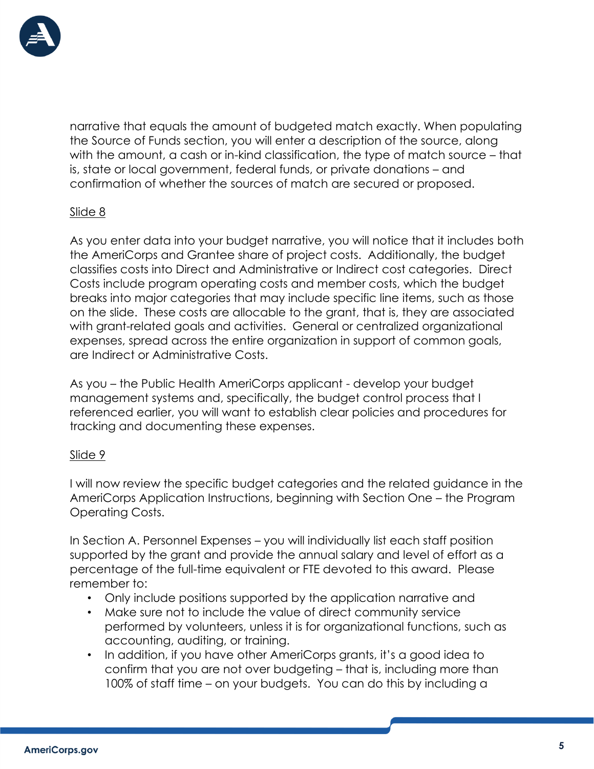

narrative that equals the amount of budgeted match exactly. When populating the Source of Funds section, you will enter a description of the source, along with the amount, a cash or in-kind classification, the type of match source – that is, state or local government, federal funds, or private donations – and confirmation of whether the sources of match are secured or proposed.

# Slide 8

As you enter data into your budget narrative, you will notice that it includes both the AmeriCorps and Grantee share of project costs. Additionally, the budget classifies costs into Direct and Administrative or Indirect cost categories. Direct Costs include program operating costs and member costs, which the budget breaks into major categories that may include specific line items, such as those on the slide. These costs are allocable to the grant, that is, they are associated with grant-related goals and activities. General or centralized organizational expenses, spread across the entire organization in support of common goals, are Indirect or Administrative Costs.

As you – the Public Health AmeriCorps applicant - develop your budget management systems and, specifically, the budget control process that I referenced earlier, you will want to establish clear policies and procedures for tracking and documenting these expenses.

### Slide 9

I will now review the specific budget categories and the related guidance in the AmeriCorps Application Instructions, beginning with Section One – the Program Operating Costs.

In Section A. Personnel Expenses – you will individually list each staff position supported by the grant and provide the annual salary and level of effort as a percentage of the full-time equivalent or FTE devoted to this award. Please remember to:

- Only include positions supported by the application narrative and
- Make sure not to include the value of direct community service performed by volunteers, unless it is for organizational functions, such as accounting, auditing, or training.
- In addition, if you have other AmeriCorps grants, it's a good idea to confirm that you are not over budgeting – that is, including more than 100% of staff time – on your budgets. You can do this by including a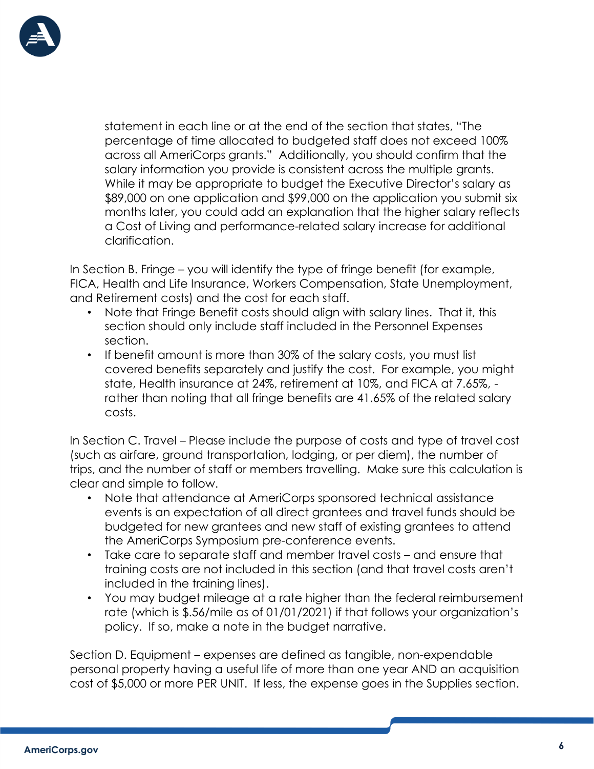

statement in each line or at the end of the section that states, "The percentage of time allocated to budgeted staff does not exceed 100% across all AmeriCorps grants." Additionally, you should confirm that the salary information you provide is consistent across the multiple grants. While it may be appropriate to budget the Executive Director's salary as \$89,000 on one application and \$99,000 on the application you submit six months later, you could add an explanation that the higher salary reflects a Cost of Living and performance-related salary increase for additional clarification.

In Section B. Fringe – you will identify the type of fringe benefit (for example, FICA, Health and Life Insurance, Workers Compensation, State Unemployment, and Retirement costs) and the cost for each staff.

- Note that Fringe Benefit costs should align with salary lines. That it, this section should only include staff included in the Personnel Expenses section.
- If benefit amount is more than 30% of the salary costs, you must list covered benefits separately and justify the cost. For example, you might state, Health insurance at 24%, retirement at 10%, and FICA at 7.65%, rather than noting that all fringe benefits are 41.65% of the related salary costs.

In Section C. Travel – Please include the purpose of costs and type of travel cost (such as airfare, ground transportation, lodging, or per diem), the number of trips, and the number of staff or members travelling. Make sure this calculation is clear and simple to follow.

- Note that attendance at AmeriCorps sponsored technical assistance events is an expectation of all direct grantees and travel funds should be budgeted for new grantees and new staff of existing grantees to attend the AmeriCorps Symposium pre-conference events.
- Take care to separate staff and member travel costs and ensure that training costs are not included in this section (and that travel costs aren't included in the training lines).
- You may budget mileage at a rate higher than the federal reimbursement rate (which is \$.56/mile as of 01/01/2021) if that follows your organization's policy. If so, make a note in the budget narrative.

Section D. Equipment – expenses are defined as tangible, non-expendable personal property having a useful life of more than one year AND an acquisition cost of \$5,000 or more PER UNIT. If less, the expense goes in the Supplies section.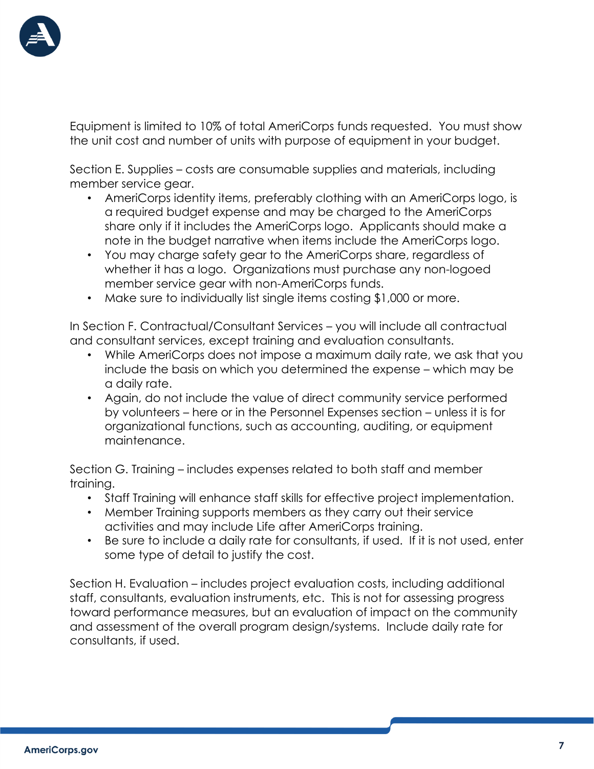

Equipment is limited to 10% of total AmeriCorps funds requested. You must show the unit cost and number of units with purpose of equipment in your budget.

Section E. Supplies – costs are consumable supplies and materials, including member service gear.

- AmeriCorps identity items, preferably clothing with an AmeriCorps logo, is a required budget expense and may be charged to the AmeriCorps share only if it includes the AmeriCorps logo. Applicants should make a note in the budget narrative when items include the AmeriCorps logo.
- You may charge safety gear to the AmeriCorps share, regardless of whether it has a logo. Organizations must purchase any non-logoed member service gear with non-AmeriCorps funds.
- Make sure to individually list single items costing \$1,000 or more.

In Section F. Contractual/Consultant Services – you will include all contractual and consultant services, except training and evaluation consultants.

- While AmeriCorps does not impose a maximum daily rate, we ask that you include the basis on which you determined the expense – which may be a daily rate.
- Again, do not include the value of direct community service performed by volunteers – here or in the Personnel Expenses section – unless it is for organizational functions, such as accounting, auditing, or equipment maintenance.

Section G. Training – includes expenses related to both staff and member training.

- Staff Training will enhance staff skills for effective project implementation.
- Member Training supports members as they carry out their service activities and may include Life after AmeriCorps training.
- Be sure to include a daily rate for consultants, if used. If it is not used, enter some type of detail to justify the cost.

Section H. Evaluation – includes project evaluation costs, including additional staff, consultants, evaluation instruments, etc. This is not for assessing progress toward performance measures, but an evaluation of impact on the community and assessment of the overall program design/systems. Include daily rate for consultants, if used.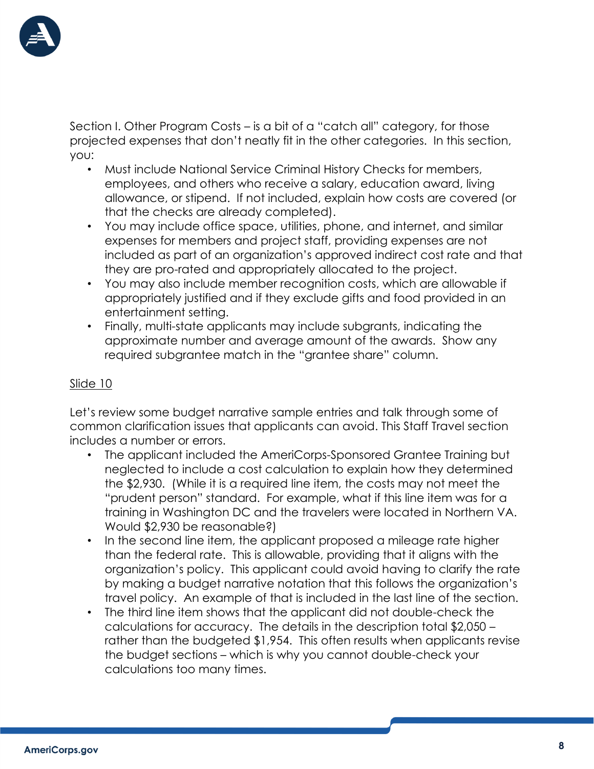

Section I. Other Program Costs – is a bit of a "catch all" category, for those projected expenses that don't neatly fit in the other categories. In this section, you:

- Must include National Service Criminal History Checks for members, employees, and others who receive a salary, education award, living allowance, or stipend. If not included, explain how costs are covered (or that the checks are already completed).
- You may include office space, utilities, phone, and internet, and similar expenses for members and project staff, providing expenses are not included as part of an organization's approved indirect cost rate and that they are pro-rated and appropriately allocated to the project.
- You may also include member recognition costs, which are allowable if appropriately justified and if they exclude gifts and food provided in an entertainment setting.
- Finally, multi-state applicants may include subgrants, indicating the approximate number and average amount of the awards. Show any required subgrantee match in the "grantee share" column.

# Slide 10

Let's review some budget narrative sample entries and talk through some of common clarification issues that applicants can avoid. This Staff Travel section includes a number or errors.

- The applicant included the AmeriCorps-Sponsored Grantee Training but neglected to include a cost calculation to explain how they determined the \$2,930. (While it is a required line item, the costs may not meet the "prudent person" standard. For example, what if this line item was for a training in Washington DC and the travelers were located in Northern VA. Would \$2,930 be reasonable?)
- In the second line item, the applicant proposed a mileage rate higher than the federal rate. This is allowable, providing that it aligns with the organization's policy. This applicant could avoid having to clarify the rate by making a budget narrative notation that this follows the organization's travel policy. An example of that is included in the last line of the section.
- The third line item shows that the applicant did not double-check the calculations for accuracy. The details in the description total \$2,050 – rather than the budgeted \$1,954. This often results when applicants revise the budget sections – which is why you cannot double-check your calculations too many times.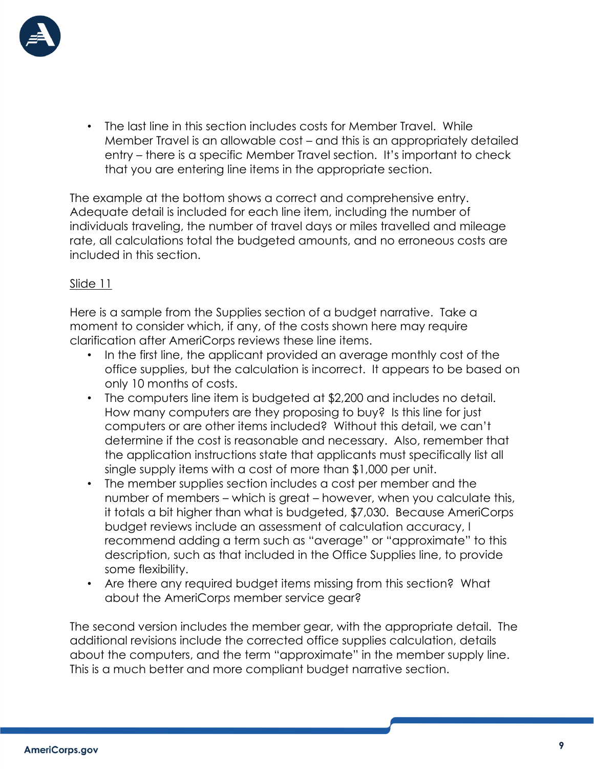

• The last line in this section includes costs for Member Travel. While Member Travel is an allowable cost – and this is an appropriately detailed entry – there is a specific Member Travel section. It's important to check that you are entering line items in the appropriate section.

The example at the bottom shows a correct and comprehensive entry. Adequate detail is included for each line item, including the number of individuals traveling, the number of travel days or miles travelled and mileage rate, all calculations total the budgeted amounts, and no erroneous costs are included in this section.

# Slide 11

Here is a sample from the Supplies section of a budget narrative. Take a moment to consider which, if any, of the costs shown here may require clarification after AmeriCorps reviews these line items.

- In the first line, the applicant provided an average monthly cost of the office supplies, but the calculation is incorrect. It appears to be based on only 10 months of costs.
- The computers line item is budgeted at \$2,200 and includes no detail. How many computers are they proposing to buy? Is this line for just computers or are other items included? Without this detail, we can't determine if the cost is reasonable and necessary. Also, remember that the application instructions state that applicants must specifically list all single supply items with a cost of more than \$1,000 per unit.
- The member supplies section includes a cost per member and the number of members – which is great – however, when you calculate this, it totals a bit higher than what is budgeted, \$7,030. Because AmeriCorps budget reviews include an assessment of calculation accuracy, I recommend adding a term such as "average" or "approximate" to this description, such as that included in the Office Supplies line, to provide some flexibility.
- Are there any required budget items missing from this section? What about the AmeriCorps member service gear?

The second version includes the member gear, with the appropriate detail. The additional revisions include the corrected office supplies calculation, details about the computers, and the term "approximate" in the member supply line. This is a much better and more compliant budget narrative section.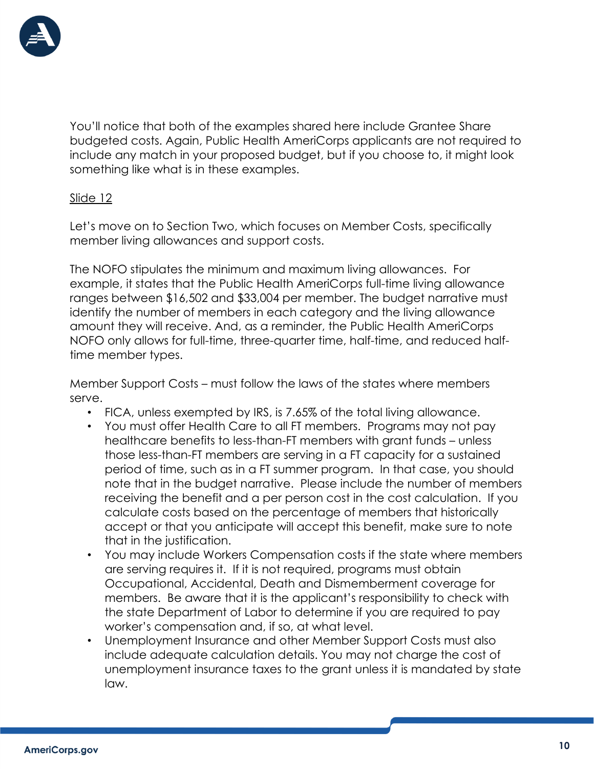

You'll notice that both of the examples shared here include Grantee Share budgeted costs. Again, Public Health AmeriCorps applicants are not required to include any match in your proposed budget, but if you choose to, it might look something like what is in these examples.

## Slide 12

Let's move on to Section Two, which focuses on Member Costs, specifically member living allowances and support costs.

The NOFO stipulates the minimum and maximum living allowances. For example, it states that the Public Health AmeriCorps full-time living allowance ranges between \$16,502 and \$33,004 per member. The budget narrative must identify the number of members in each category and the living allowance amount they will receive. And, as a reminder, the Public Health AmeriCorps NOFO only allows for full-time, three-quarter time, half-time, and reduced halftime member types.

Member Support Costs – must follow the laws of the states where members serve.

- FICA, unless exempted by IRS, is 7.65% of the total living allowance.
- You must offer Health Care to all FT members. Programs may not pay healthcare benefits to less-than-FT members with grant funds – unless those less-than-FT members are serving in a FT capacity for a sustained period of time, such as in a FT summer program. In that case, you should note that in the budget narrative. Please include the number of members receiving the benefit and a per person cost in the cost calculation. If you calculate costs based on the percentage of members that historically accept or that you anticipate will accept this benefit, make sure to note that in the justification.
- You may include Workers Compensation costs if the state where members are serving requires it. If it is not required, programs must obtain Occupational, Accidental, Death and Dismemberment coverage for members. Be aware that it is the applicant's responsibility to check with the state Department of Labor to determine if you are required to pay worker's compensation and, if so, at what level.
- Unemployment Insurance and other Member Support Costs must also include adequate calculation details. You may not charge the cost of unemployment insurance taxes to the grant unless it is mandated by state law.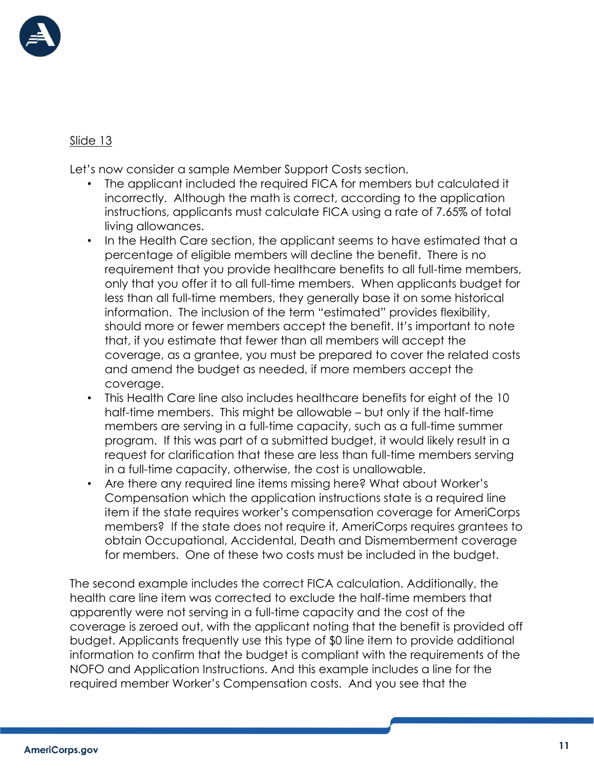

# Slide 13

Let's now consider a sample Member Support Costs section.

- The applicant included the required FICA for members but calculated it incorrectly. Although the math is correct, according to the application instructions, applicants must calculate FICA using a rate of 7.65% of total living allowances.
- In the Health Care section, the applicant seems to have estimated that a percentage of eligible members will decline the benefit. There is no requirement that you provide healthcare benefits to all full-time members, only that you offer it to all full-time members. When applicants budget for less than all full-time members, they generally base it on some historical information. The inclusion of the term "estimated" provides flexibility, should more or fewer members accept the benefit. It's important to note that, if you estimate that fewer than all members will accept the coverage, as a grantee, you must be prepared to cover the related costs and amend the budget as needed, if more members accept the coverage.
- This Health Care line also includes healthcare benefits for eight of the 10 half-time members. This might be allowable – but only if the half-time members are serving in a full-time capacity, such as a full-time summer program. If this was part of a submitted budget, it would likely result in a request for clarification that these are less than full-time members serving in a full-time capacity, otherwise, the cost is unallowable.
- Are there any required line items missing here? What about Worker's Compensation which the application instructions state is a required line item if the state requires worker's compensation coverage for AmeriCorps members? If the state does not require it, AmeriCorps requires grantees to obtain Occupational, Accidental, Death and Dismemberment coverage for members. One of these two costs must be included in the budget.

The second example includes the correct FICA calculation. Additionally, the health care line item was corrected to exclude the half-time members that apparently were not serving in a full-time capacity and the cost of the coverage is zeroed out, with the applicant noting that the benefit is provided off budget. Applicants frequently use this type of \$0 line item to provide additional information to confirm that the budget is compliant with the requirements of the NOFO and Application Instructions. And this example includes a line for the required member Worker's Compensation costs. And you see that the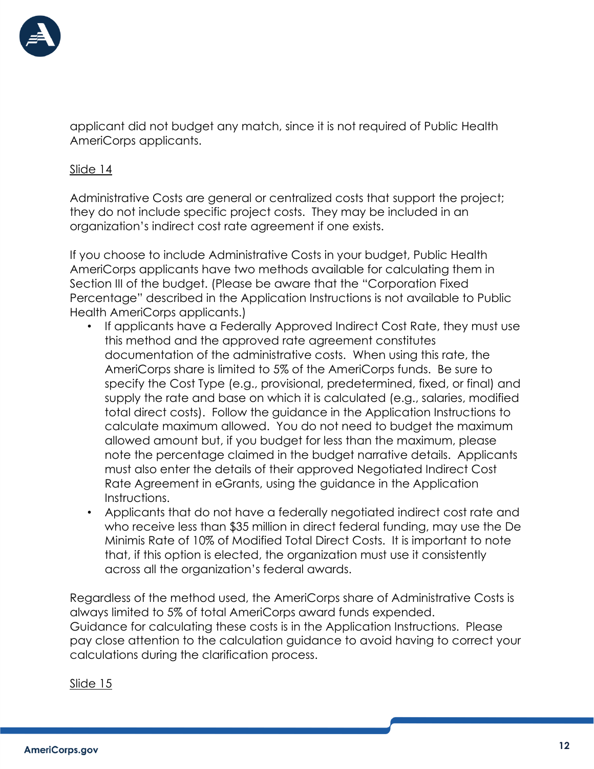

applicant did not budget any match, since it is not required of Public Health AmeriCorps applicants.

#### Slide 14

Administrative Costs are general or centralized costs that support the project; they do not include specific project costs. They may be included in an organization's indirect cost rate agreement if one exists.

If you choose to include Administrative Costs in your budget, Public Health AmeriCorps applicants have two methods available for calculating them in Section III of the budget. (Please be aware that the "Corporation Fixed Percentage" described in the Application Instructions is not available to Public Health AmeriCorps applicants.)

- If applicants have a Federally Approved Indirect Cost Rate, they must use this method and the approved rate agreement constitutes documentation of the administrative costs. When using this rate, the AmeriCorps share is limited to 5% of the AmeriCorps funds. Be sure to specify the Cost Type (e.g., provisional, predetermined, fixed, or final) and supply the rate and base on which it is calculated (e.g., salaries, modified total direct costs). Follow the guidance in the Application Instructions to calculate maximum allowed. You do not need to budget the maximum allowed amount but, if you budget for less than the maximum, please note the percentage claimed in the budget narrative details. Applicants must also enter the details of their approved Negotiated Indirect Cost Rate Agreement in eGrants, using the guidance in the Application Instructions.
- Applicants that do not have a federally negotiated indirect cost rate and who receive less than \$35 million in direct federal funding, may use the De Minimis Rate of 10% of Modified Total Direct Costs. It is important to note that, if this option is elected, the organization must use it consistently across all the organization's federal awards.

Regardless of the method used, the AmeriCorps share of Administrative Costs is always limited to 5% of total AmeriCorps award funds expended. Guidance for calculating these costs is in the Application Instructions. Please pay close attention to the calculation guidance to avoid having to correct your calculations during the clarification process.

Slide 15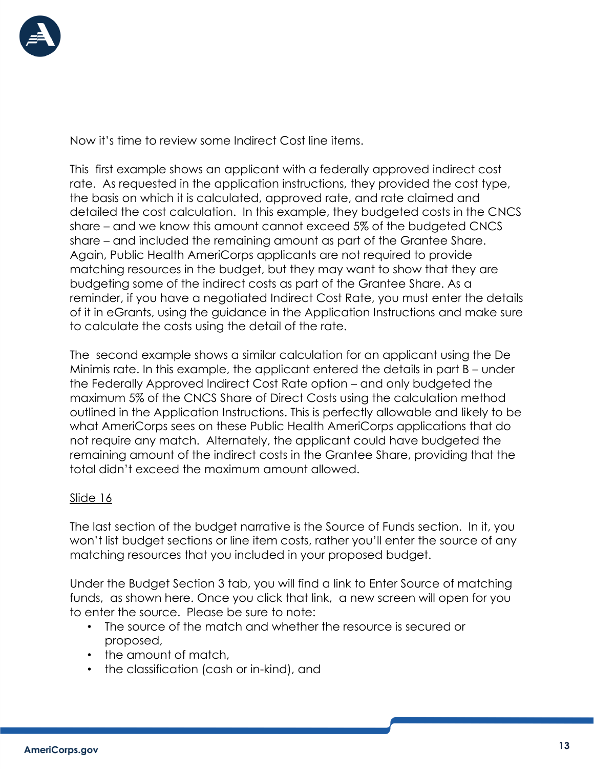

Now it's time to review some Indirect Cost line items.

This first example shows an applicant with a federally approved indirect cost rate. As requested in the application instructions, they provided the cost type, the basis on which it is calculated, approved rate, and rate claimed and detailed the cost calculation. In this example, they budgeted costs in the CNCS share – and we know this amount cannot exceed 5% of the budgeted CNCS share – and included the remaining amount as part of the Grantee Share. Again, Public Health AmeriCorps applicants are not required to provide matching resources in the budget, but they may want to show that they are budgeting some of the indirect costs as part of the Grantee Share. As a reminder, if you have a negotiated Indirect Cost Rate, you must enter the details of it in eGrants, using the guidance in the Application Instructions and make sure to calculate the costs using the detail of the rate.

The second example shows a similar calculation for an applicant using the De Minimis rate. In this example, the applicant entered the details in part B – under the Federally Approved Indirect Cost Rate option – and only budgeted the maximum 5% of the CNCS Share of Direct Costs using the calculation method outlined in the Application Instructions. This is perfectly allowable and likely to be what AmeriCorps sees on these Public Health AmeriCorps applications that do not require any match. Alternately, the applicant could have budgeted the remaining amount of the indirect costs in the Grantee Share, providing that the total didn't exceed the maximum amount allowed.

### Slide 16

The last section of the budget narrative is the Source of Funds section. In it, you won't list budget sections or line item costs, rather you'll enter the source of any matching resources that you included in your proposed budget.

Under the Budget Section 3 tab, you will find a link to Enter Source of matching funds, as shown here. Once you click that link, a new screen will open for you to enter the source. Please be sure to note:

- The source of the match and whether the resource is secured or proposed,
- the amount of match,
- the classification (cash or in-kind), and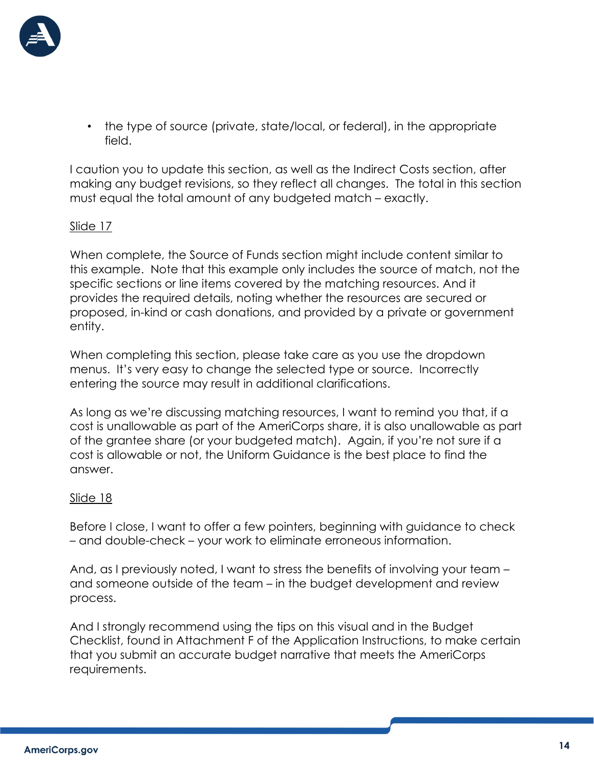

• the type of source (private, state/local, or federal), in the appropriate field.

I caution you to update this section, as well as the Indirect Costs section, after making any budget revisions, so they reflect all changes. The total in this section must equal the total amount of any budgeted match – exactly.

## Slide 17

When complete, the Source of Funds section might include content similar to this example. Note that this example only includes the source of match, not the specific sections or line items covered by the matching resources. And it provides the required details, noting whether the resources are secured or proposed, in-kind or cash donations, and provided by a private or government entity.

When completing this section, please take care as you use the dropdown menus. It's very easy to change the selected type or source. Incorrectly entering the source may result in additional clarifications.

As long as we're discussing matching resources, I want to remind you that, if a cost is unallowable as part of the AmeriCorps share, it is also unallowable as part of the grantee share (or your budgeted match). Again, if you're not sure if a cost is allowable or not, the Uniform Guidance is the best place to find the answer.

### Slide 18

Before I close, I want to offer a few pointers, beginning with guidance to check – and double-check – your work to eliminate erroneous information.

And, as I previously noted, I want to stress the benefits of involving your team – and someone outside of the team – in the budget development and review process.

And I strongly recommend using the tips on this visual and in the Budget Checklist, found in Attachment F of the Application Instructions, to make certain that you submit an accurate budget narrative that meets the AmeriCorps requirements.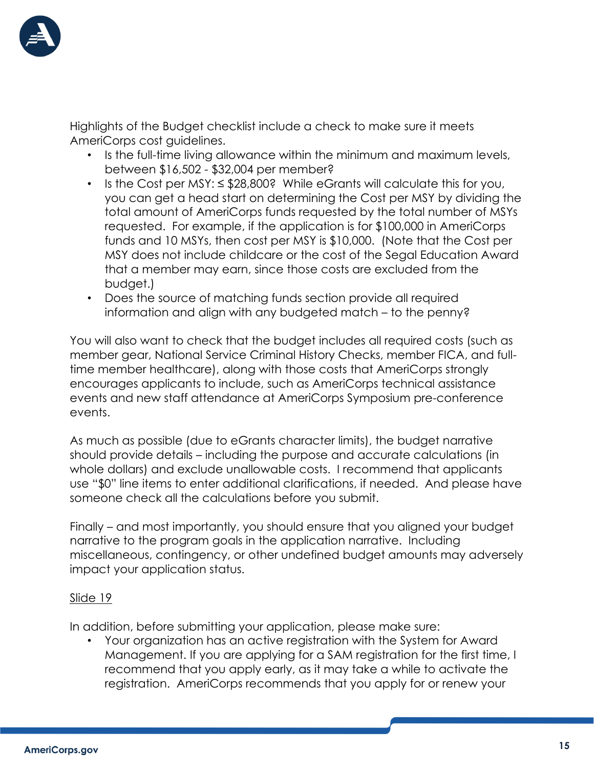

Highlights of the Budget checklist include a check to make sure it meets AmeriCorps cost guidelines.

- Is the full-time living allowance within the minimum and maximum levels, between \$16,502 - \$32,004 per member?
- Is the Cost per MSY: ≤ \$28,800? While eGrants will calculate this for you, you can get a head start on determining the Cost per MSY by dividing the total amount of AmeriCorps funds requested by the total number of MSYs requested. For example, if the application is for \$100,000 in AmeriCorps funds and 10 MSYs, then cost per MSY is \$10,000. (Note that the Cost per MSY does not include childcare or the cost of the Segal Education Award that a member may earn, since those costs are excluded from the budget.)
- Does the source of matching funds section provide all required information and align with any budgeted match – to the penny?

You will also want to check that the budget includes all required costs (such as member gear, National Service Criminal History Checks, member FICA, and fulltime member healthcare), along with those costs that AmeriCorps strongly encourages applicants to include, such as AmeriCorps technical assistance events and new staff attendance at AmeriCorps Symposium pre-conference events.

As much as possible (due to eGrants character limits), the budget narrative should provide details – including the purpose and accurate calculations (in whole dollars) and exclude unallowable costs. I recommend that applicants use "\$0" line items to enter additional clarifications, if needed. And please have someone check all the calculations before you submit.

Finally – and most importantly, you should ensure that you aligned your budget narrative to the program goals in the application narrative. Including miscellaneous, contingency, or other undefined budget amounts may adversely impact your application status.

# Slide 19

In addition, before submitting your application, please make sure:

• Your organization has an active registration with the System for Award Management. If you are applying for a SAM registration for the first time, I recommend that you apply early, as it may take a while to activate the registration. AmeriCorps recommends that you apply for or renew your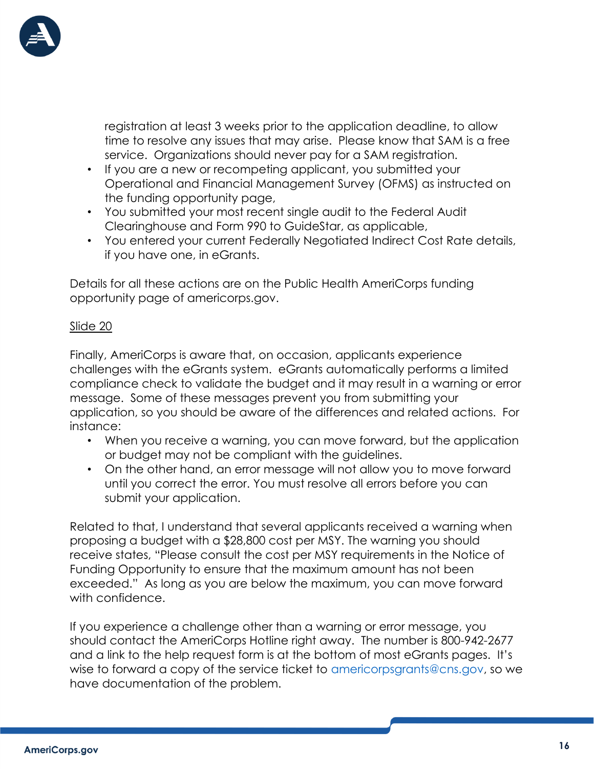

registration at least 3 weeks prior to the application deadline, to allow time to resolve any issues that may arise. Please know that SAM is a free service. Organizations should never pay for a SAM registration.

- If you are a new or recompeting applicant, you submitted your Operational and Financial Management Survey (OFMS) as instructed on the funding opportunity page,
- You submitted your most recent single audit to the Federal Audit Clearinghouse and Form 990 to GuideStar, as applicable,
- You entered your current Federally Negotiated Indirect Cost Rate details, if you have one, in eGrants.

Details for all these actions are on the Public Health AmeriCorps funding opportunity page of americorps.gov.

# Slide 20

Finally, AmeriCorps is aware that, on occasion, applicants experience challenges with the eGrants system. eGrants automatically performs a limited compliance check to validate the budget and it may result in a warning or error message. Some of these messages prevent you from submitting your application, so you should be aware of the differences and related actions. For instance:

- When you receive a warning, you can move forward, but the application or budget may not be compliant with the guidelines.
- On the other hand, an error message will not allow you to move forward until you correct the error. You must resolve all errors before you can submit your application.

Related to that, I understand that several applicants received a warning when proposing a budget with a \$28,800 cost per MSY. The warning you should receive states, "Please consult the cost per MSY requirements in the Notice of Funding Opportunity to ensure that the maximum amount has not been exceeded." As long as you are below the maximum, you can move forward with confidence.

If you experience a challenge other than a warning or error message, you should contact the AmeriCorps Hotline right away. The number is 800-942-2677 and a link to the help request form is at the bottom of most eGrants pages. It's wise to forward a copy of the service ticket to [americorpsgrants@cns.gov,](mailto:americorpsgrants@cns.gov) so we have documentation of the problem.